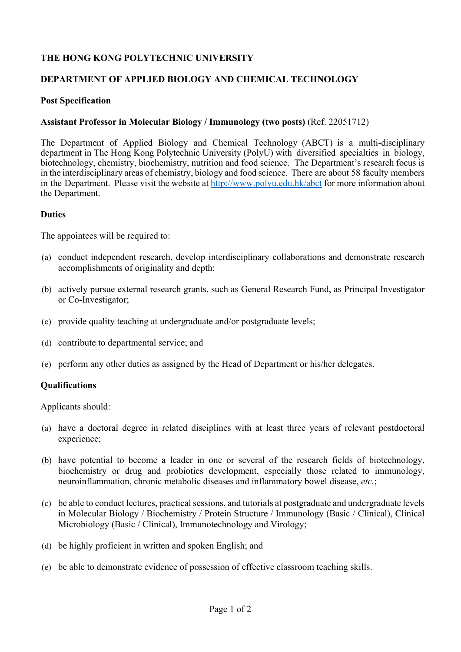# **THE HONG KONG POLYTECHNIC UNIVERSITY**

### **DEPARTMENT OF APPLIED BIOLOGY AND CHEMICAL TECHNOLOGY**

### **Post Specification**

### **Assistant Professor in Molecular Biology / Immunology (two posts)** (Ref. 22051712)

The Department of Applied Biology and Chemical Technology (ABCT) is a multi-disciplinary department in The Hong Kong Polytechnic University (PolyU) with diversified specialties in biology, biotechnology, chemistry, biochemistry, nutrition and food science. The Department's research focus is in the interdisciplinary areas of chemistry, biology and food science. There are about 58 faculty members in the Department. Please visit the website at http://www.polyu.edu.hk/abct for more information about the Department.

#### **Duties**

The appointees will be required to:

- (a) conduct independent research, develop interdisciplinary collaborations and demonstrate research accomplishments of originality and depth;
- (b) actively pursue external research grants, such as General Research Fund, as Principal Investigator or Co-Investigator;
- (c) provide quality teaching at undergraduate and/or postgraduate levels;
- (d) contribute to departmental service; and
- (e) perform any other duties as assigned by the Head of Department or his/her delegates.

#### **Qualifications**

Applicants should:

- (a) have a doctoral degree in related disciplines with at least three years of relevant postdoctoral experience;
- (b) have potential to become a leader in one or several of the research fields of biotechnology, biochemistry or drug and probiotics development, especially those related to immunology, neuroinflammation, chronic metabolic diseases and inflammatory bowel disease, *etc.*;
- (c) be able to conduct lectures, practical sessions, and tutorials at postgraduate and undergraduate levels in Molecular Biology / Biochemistry / Protein Structure / Immunology (Basic / Clinical), Clinical Microbiology (Basic / Clinical), Immunotechnology and Virology;
- (d) be highly proficient in written and spoken English; and
- (e) be able to demonstrate evidence of possession of effective classroom teaching skills.